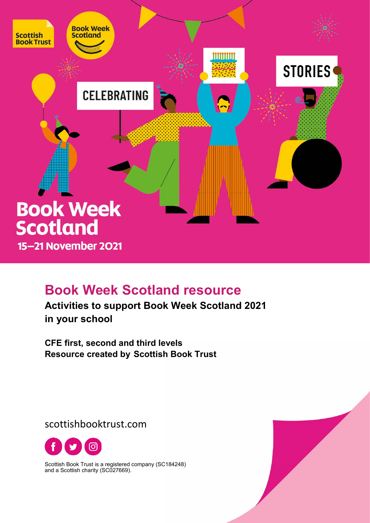

# **Book Week Scotland resource**

**Activities to support Book Week Scotland 2021 in your school**

**CFE first, second and third levels Resource created by Scottish Book Trust**

scottishbooktrust.com



Scottish Book Trust is a registered company (SC184248) and a Scottish charity (SC027669).

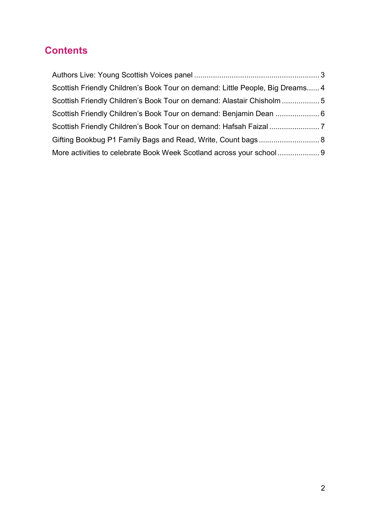### **Contents**

| Scottish Friendly Children's Book Tour on demand: Little People, Big Dreams 4 |  |
|-------------------------------------------------------------------------------|--|
| Scottish Friendly Children's Book Tour on demand: Alastair Chisholm  5        |  |
|                                                                               |  |
|                                                                               |  |
|                                                                               |  |
| More activities to celebrate Book Week Scotland across your school  9         |  |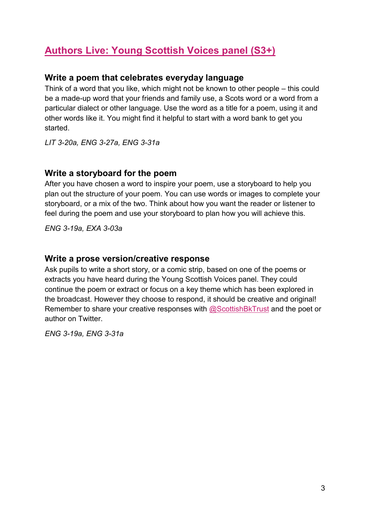### **[Authors Live: Young Scottish Voices panel](https://www.scottishbooktrust.com/learning-and-resources/authors-live/authors-live-young-scottish-voices-panel) (S3+)**

#### **Write a poem that celebrates everyday language**

Think of a word that you like, which might not be known to other people – this could be a made-up word that your friends and family use, a Scots word or a word from a particular dialect or other language. Use the word as a title for a poem, using it and other words like it. You might find it helpful to start with a word bank to get you started.

*LIT 3-20a, ENG 3-27a, ENG 3-31a*

#### **Write a storyboard for the poem**

After you have chosen a word to inspire your poem, use a storyboard to help you plan out the structure of your poem. You can use words or images to complete your storyboard, or a mix of the two. Think about how you want the reader or listener to feel during the poem and use your storyboard to plan how you will achieve this.

*ENG 3-19a, EXA 3-03a*

#### **Write a prose version/creative response**

Ask pupils to write a short story, or a comic strip, based on one of the poems or extracts you have heard during the Young Scottish Voices panel. They could continue the poem or extract or focus on a key theme which has been explored in the broadcast. However they choose to respond, it should be creative and original! Remember to share your creative responses with [@ScottishBkTrust](https://twitter.com/scottishbktrust?lang=en-gb) and the poet or author on Twitter.

*ENG 3-19a, ENG 3-31a*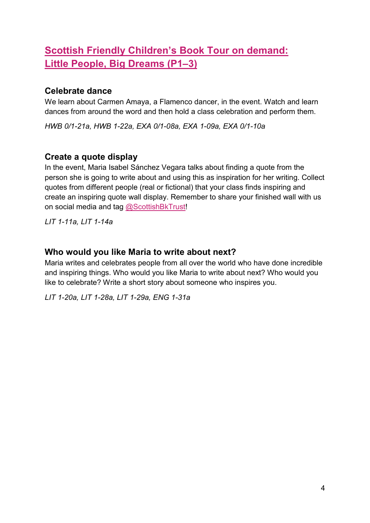# **[Scottish Friendly Children's Book Tour on demand:](https://www.scottishbooktrust.com/writing-and-authors/scottish-friendly-childrens-book-tour/connected-continents-little-people-big-dreams)  Little People, [Big Dreams \(P1–3\)](https://www.scottishbooktrust.com/writing-and-authors/scottish-friendly-childrens-book-tour/connected-continents-little-people-big-dreams)**

#### **Celebrate dance**

We learn about Carmen Amaya, a Flamenco dancer, in the event. Watch and learn dances from around the word and then hold a class celebration and perform them.

*HWB 0/1-21a, HWB 1-22a, EXA 0/1-08a, EXA 1-09a, EXA 0/1-10a*

### **Create a quote display**

In the event, Maria Isabel Sánchez Vegara talks about finding a quote from the person she is going to write about and using this as inspiration for her writing. Collect quotes from different people (real or fictional) that your class finds inspiring and create an inspiring quote wall display. Remember to share your finished wall with us on social media and tag [@ScottishBkTrust!](https://twitter.com/scottishbktrust?lang=en-gb)

*LIT 1-11a, LIT 1-14a*

#### **Who would you like Maria to write about next?**

Maria writes and celebrates people from all over the world who have done incredible and inspiring things. Who would you like Maria to write about next? Who would you like to celebrate? Write a short story about someone who inspires you.

*LIT 1-20a, LIT 1-28a, LIT 1-29a, ENG 1-31a*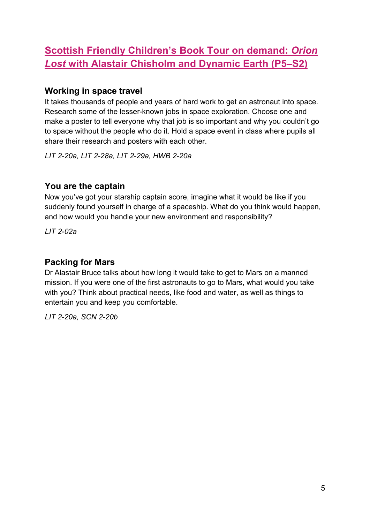# **[Scottish Friendly Children's Book Tour on demand:](https://www.scottishbooktrust.com/writing-and-authors/scottish-friendly-childrens-book-tour/connected-space-orion-lost-alastair-chisholm)** *Orion Lost* **[with Alastair Chisholm](https://www.scottishbooktrust.com/writing-and-authors/scottish-friendly-childrens-book-tour/connected-space-orion-lost-alastair-chisholm) and Dynamic Earth (P5–S2)**

#### **Working in space travel**

It takes thousands of people and years of hard work to get an astronaut into space. Research some of the lesser-known jobs in space exploration. Choose one and make a poster to tell everyone why that job is so important and why you couldn't go to space without the people who do it. Hold a space event in class where pupils all share their research and posters with each other.

*LIT 2-20a, LIT 2-28a, LIT 2-29a, HWB 2-20a*

#### **You are the captain**

Now you've got your starship captain score, imagine what it would be like if you suddenly found yourself in charge of a spaceship. What do you think would happen, and how would you handle your new environment and responsibility?

*LIT 2-02a*

#### **Packing for Mars**

Dr Alastair Bruce talks about how long it would take to get to Mars on a manned mission. If you were one of the first astronauts to go to Mars, what would you take with you? Think about practical needs, like food and water, as well as things to entertain you and keep you comfortable.

*LIT 2-20a, SCN 2-20b*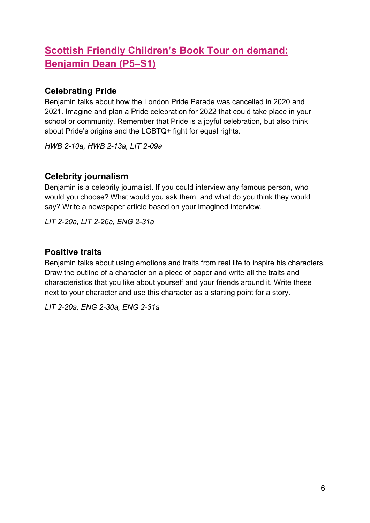# **[Scottish Friendly Children's Book Tour on demand:](https://www.scottishbooktrust.com/writing-and-authors/scottish-friendly-childrens-book-tour/benjamin-dean)  [Benjamin Dean](https://www.scottishbooktrust.com/writing-and-authors/scottish-friendly-childrens-book-tour/benjamin-dean) (P5–S1)**

### **Celebrating Pride**

Benjamin talks about how the London Pride Parade was cancelled in 2020 and 2021. Imagine and plan a Pride celebration for 2022 that could take place in your school or community. Remember that Pride is a joyful celebration, but also think about Pride's origins and the LGBTQ+ fight for equal rights.

*HWB 2-10a, HWB 2-13a, LIT 2-09a*

### **Celebrity journalism**

Benjamin is a celebrity journalist. If you could interview any famous person, who would you choose? What would you ask them, and what do you think they would say? Write a newspaper article based on your imagined interview.

*LIT 2-20a, LIT 2-26a, ENG 2-31a*

#### **Positive traits**

Benjamin talks about using emotions and traits from real life to inspire his characters. Draw the outline of a character on a piece of paper and write all the traits and characteristics that you like about yourself and your friends around it. Write these next to your character and use this character as a starting point for a story.

*LIT 2-20a, ENG 2-30a, ENG 2-31a*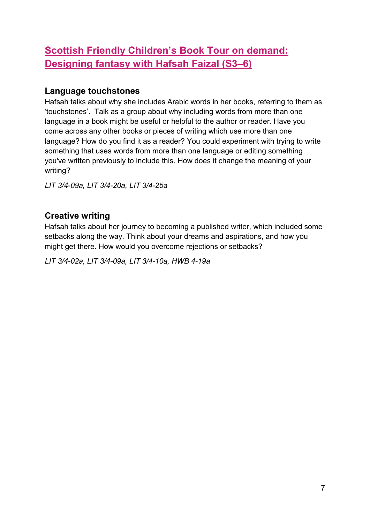# **[Scottish Friendly Children's Book Tour on demand:](https://www.scottishbooktrust.com/writing-and-authors/scottish-friendly-childrens-book-tour/connected-continents-designing-fantasy-with-hafsah-faizal-north-america)  [Designing fantasy with Hafsah Faizal \(S3–6\)](https://www.scottishbooktrust.com/writing-and-authors/scottish-friendly-childrens-book-tour/connected-continents-designing-fantasy-with-hafsah-faizal-north-america)**

#### **Language touchstones**

Hafsah talks about why she includes Arabic words in her books, referring to them as 'touchstones'. Talk as a group about why including words from more than one language in a book might be useful or helpful to the author or reader. Have you come across any other books or pieces of writing which use more than one language? How do you find it as a reader? You could experiment with trying to write something that uses words from more than one language or editing something you've written previously to include this. How does it change the meaning of your writing?

*LIT 3/4-09a, LIT 3/4-20a, LIT 3/4-25a*

### **Creative writing**

Hafsah talks about her journey to becoming a published writer, which included some setbacks along the way. Think about your dreams and aspirations, and how you might get there. How would you overcome rejections or setbacks?

*LIT 3/4-02a, LIT 3/4-09a, LIT 3/4-10a, HWB 4-19a*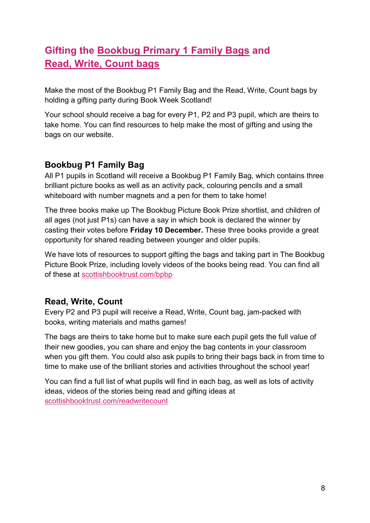# **Gifting the [Bookbug Primary 1 Family Bags](https://www.scottishbooktrust.com/reading-and-stories/bookbug/gifting-the-bookbug-primary-1-family-bags) and [Read, Write, Count bags](https://www.scottishbooktrust.com/learning-resources/primary-1-3-bag-gifting)**

Make the most of the Bookbug P1 Family Bag and the Read, Write, Count bags by holding a gifting party during Book Week Scotland!

Your school should receive a bag for every P1, P2 and P3 pupil, which are theirs to take home. You can find resources to help make the most of gifting and using the bags on our website.

### **Bookbug P1 Family Bag**

All P1 pupils in Scotland will receive a Bookbug P1 Family Bag, which contains three brilliant picture books as well as an activity pack, colouring pencils and a small whiteboard with number magnets and a pen for them to take home!

The three books make up The Bookbug Picture Book Prize shortlist, and children of all ages (not just P1s) can have a say in which book is declared the winner by casting their votes before **Friday 10 December.** These three books provide a great opportunity for shared reading between younger and older pupils.

We have lots of resources to support gifting the bags and taking part in The Bookbug Picture Book Prize, including lovely videos of the books being read. You can find all of these at [scottishbooktrust.com/bpbp](https://www.scottishbooktrust.com/reading-and-stories/bookbug-picture-book-prize)

### **Read, Write, Count**

Every P2 and P3 pupil will receive a Read, Write, Count bag, jam-packed with books, writing materials and maths games!

The bags are theirs to take home but to make sure each pupil gets the full value of their new goodies, you can share and enjoy the bag contents in your classroom when you gift them. You could also ask pupils to bring their bags back in from time to time to make use of the brilliant stories and activities throughout the school year!

You can find a full list of what pupils will find in each bag, as well as lots of activity ideas, videos of the stories being read and gifting ideas at [scottishbooktrust.com/readwritecount](https://www.scottishbooktrust.com/readwritecount)